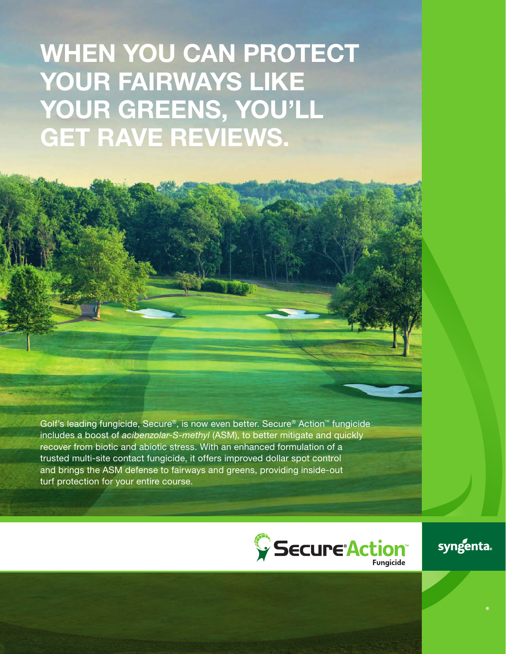# WHEN YOU CAN PROTECT YOUR FAIRWAYS LIKE YOUR GREENS, YOU'LL GET RAVE REVIEWS.

The fungicide that  $\mathcal{L}$  is strong for  $\mathcal{L}$  , the many moons is strong for  $\mathcal{L}$ 

Golf's leading fungicide, Secure®, is now even better. Secure® Action™ fungicide includes a boost of *acibenzolar-S-methyl* (ASM), to better mitigate and quickly recover from biotic and abiotic stress. With an enhanced formulation of a trusted multi-site contact fungicide, it offers improved dollar spot control and brings the ASM defense to fairways and greens, providing inside-out turf protection for your entire course.



syngenta.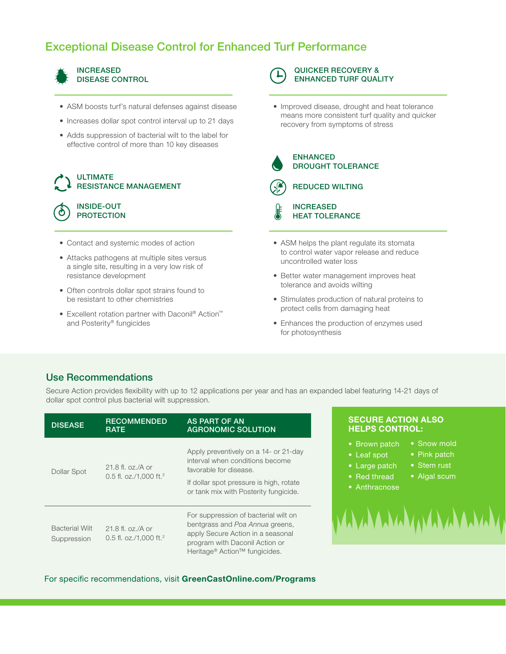## Exceptional Disease Control for Enhanced Turf Performance



- ASM boosts turf's natural defenses against disease
- Increases dollar spot control interval up to 21 days
- Adds suppression of bacterial wilt to the label for effective control of more than 10 key diseases

#### ULTIMATE RESISTANCE MANAGEMENT

#### INSIDE-OUT **PROTECTION**

- Contact and systemic modes of action
- Attacks pathogens at multiple sites versus a single site, resulting in a very low risk of resistance development
- Often controls dollar spot strains found to be resistant to other chemistries
- Excellent rotation partner with Daconil® Action™ and Posterity® fungicides

QUICKER RECOVERY & ENHANCED TURF QUALITY

#### • Improved disease, drought and heat tolerance means more consistent turf quality and quicker recovery from symptoms of stress



#### ENHANCED DROUGHT TOLERANCE



REDUCED WILTING

INCREASED HEAT TOLERANCE

- ASM helps the plant regulate its stomata to control water vapor release and reduce uncontrolled water loss
- Better water management improves heat tolerance and avoids wilting
- Stimulates production of natural proteins to protect cells from damaging heat
- Enhances the production of enzymes used for photosynthesis

#### Use Recommendations

Secure Action provides flexibility with up to 12 applications per year and has an expanded label featuring 14-21 days of dollar spot control plus bacterial wilt suppression.

| <b>DISEASE</b>                       | <b>RECOMMENDED</b><br><b>RATE</b>                         | <b>AS PART OF AN</b><br><b>AGRONOMIC SOLUTION</b>                                                                                                                                           |
|--------------------------------------|-----------------------------------------------------------|---------------------------------------------------------------------------------------------------------------------------------------------------------------------------------------------|
| Dollar Spot                          | 21.8 fl. oz./A or<br>0.5 fl. oz./1,000 ft. <sup>2</sup>   | Apply preventively on a 14- or 21-day<br>interval when conditions become<br>favorable for disease.<br>If dollar spot pressure is high, rotate<br>or tank mix with Posterity fungicide.      |
| <b>Bacterial Wilt</b><br>Suppression | $21.8$ fl. oz./A or<br>0.5 fl. oz./1,000 ft. <sup>2</sup> | For suppression of bacterial wilt on<br>bentgrass and Poa Annua greens,<br>apply Secure Action in a seasonal<br>program with Daconil Action or<br>Heritage® Action <sup>™</sup> fungicides. |

#### SECURE ACTION ALSO HELPS CONTROL:

- Brown patch
- Leaf spot
- Large patch
- Red thread
- 
- Pink patch • Stem rust

• Snow mold

- Algal scum
- Anthracnose
- WAYAAAAA

For specific recommendations, visit GreenCastOnline.com/Programs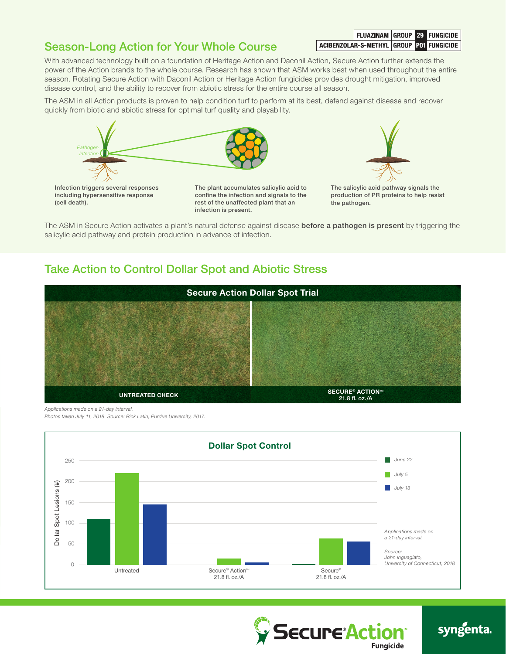# Season-Long Action for Your Whole Course

FLUAZINAM GROUP 29 FUNGICIDE ACIBENZOLAR-S-METHYL GROUP POT FUNGICIDE

With advanced technology built on a foundation of Heritage Action and Daconil Action, Secure Action further extends the power of the Action brands to the whole course. Research has shown that ASM works best when used throughout the entire season. Rotating Secure Action with Daconil Action or Heritage Action fungicides provides drought mitigation, improved disease control, and the ability to recover from abiotic stress for the entire course all season.

The ASM in all Action products is proven to help condition turf to perform at its best, defend against disease and recover quickly from biotic and abiotic stress for optimal turf quality and playability.





The ASM in Secure Action activates a plant's natural defense against disease before a pathogen is present by triggering the salicylic acid pathway and protein production in advance of infection.

### Take Action to Control Dollar Spot and Abiotic Stress



*Applications made on a 21-day interval.*

*Photos taken July 11, 2018. Source: Rick Latin, Purdue University, 2017.*





# syngenta